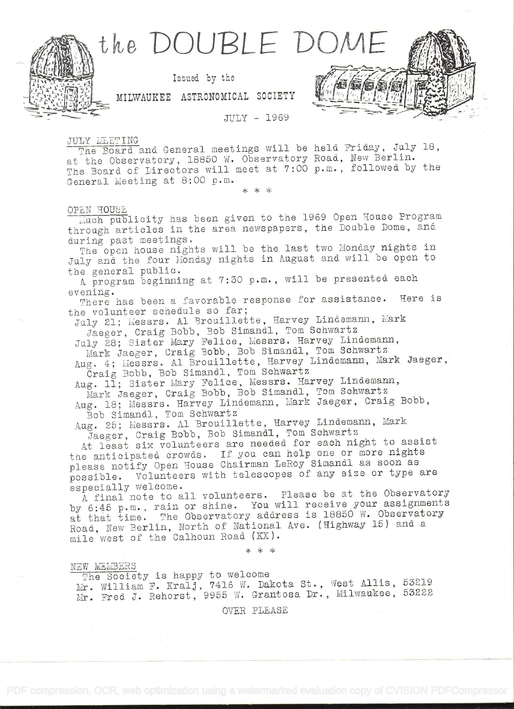

**JULY - 1969** 

JULY MEETING

The Board and General meetings will be held Friday, July 18, at the Observatory, 18850 W. Observatory Road, New Berlin. The Board of Directors will meet at 7:00 p.m., followed by the General Meeting at 8:00 p.m.

## OPEN HOUSE

much publicity has been given to the 1969 Open House Program through articles in the area newspapers, the Double Dome, and during past meetings.

The open house nights will be the last two Monday nights in July and the four Monday nights in August and will be open to the general public.

A program beginning at 7:30 p.m., will be presented each evening.

There has been a favorable response for assistance. Here is the volunteer schedule so far;

July 21; Messrs. Al Brouillette, Harvey Lindemann, Mark Jaeger, Craig Bobb, Bob Simand1, Tom Schwartz

July 28; Sister Mary Felice, Messrs. Harvey Lindemann,

Mark Jaeger, Craig Bobb, Bob Simandl, Tom Schwartz Aug. 4; Messrs. Al Brouillette, Harvey Lindemann, Mark Jaeger,

Craig Bobb, Bob Simandl, Tom Schwartz

Aug. 11; Sister Mary Felice, Messrs. Harvey Lindemann,

Mark Jaeger, Craig Bobb, Bob Simandl, Tom Schwartz

Aug. 18; Messrs. Harvey Lindemann, Mark Jaeger, Craig Bobb, Bob Simandl, Tom Schwartz

Aug. 25; Messrs. Al Brouillette, Harvey Lindemann, Mark Jaeger, Craig Bobb, Bob Simand1, Tom Schwartz

At least six volunteers are needed for each night to assist the anticipated crowds. If you can help one or more nights please notify Open House Chairman LeRoy Simandl as soon as possible. Volunteers with telescopes of any size or type are especially welcome.

A final note to all volunteers. Please be at the Observatory by 6:45 p.m., rain or shine. You will receive your assignments at that time. The Observatory address is 18850 W. Observatory Road, New Berlin, North of National Ave. (Highway 15) and a mile west of the Calhoun Road (KX).

\* \* \*

NEW MEMBERS

The Society is happy to welcome Mr. William F. Kralj, 7416 W. Dakota St., West Allis, 53219 Mr. Fred J. Rehorst, 9955 W. Grantosa Dr., Milwaukee, 53222

OVER PLEASE